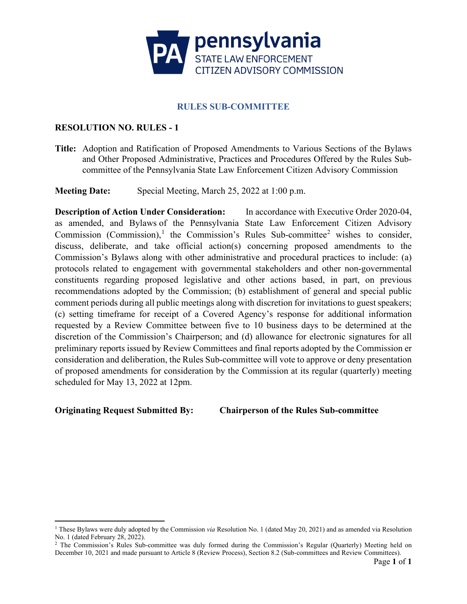

# **RULES SUB-COMMITTEE**

# **RESOLUTION NO. RULES - 1**

**Title:** Adoption and Ratification of Proposed Amendments to Various Sections of the Bylaws and Other Proposed Administrative, Practices and Procedures Offered by the Rules Subcommittee of the Pennsylvania State Law Enforcement Citizen Advisory Commission

**Meeting Date:** Special Meeting, March 25, 2022 at 1:00 p.m.

**Description of Action Under Consideration:** In accordance with Executive Order 2020-04, as amended, and Bylaws of the Pennsylvania State Law Enforcement Citizen Advisory Commission (Commission),<sup>[1](#page-0-0)</sup> the Commission's Rules Sub-committee<sup>[2](#page-0-1)</sup> wishes to consider, discuss, deliberate, and take official action(s) concerning proposed amendments to the Commission's Bylaws along with other administrative and procedural practices to include: (a) protocols related to engagement with governmental stakeholders and other non-governmental constituents regarding proposed legislative and other actions based, in part, on previous recommendations adopted by the Commission; (b) establishment of general and special public comment periods during all public meetings along with discretion for invitations to guest speakers; (c) setting timeframe for receipt of a Covered Agency's response for additional information requested by a Review Committee between five to 10 business days to be determined at the discretion of the Commission's Chairperson; and (d) allowance for electronic signatures for all preliminary reports issued by Review Committees and final reports adopted by the Commission er consideration and deliberation, the Rules Sub-committee will vote to approve or deny presentation of proposed amendments for consideration by the Commission at its regular (quarterly) meeting scheduled for May 13, 2022 at 12pm.

**Originating Request Submitted By: Chairperson of the Rules Sub-committee**

<span id="page-0-0"></span><sup>&</sup>lt;sup>1</sup> These Bylaws were duly adopted by the Commission *via* Resolution No. 1 (dated May 20, 2021) and as amended via Resolution No. 1 (dated February 28, 2022).

<span id="page-0-1"></span><sup>&</sup>lt;sup>2</sup> The Commission's Rules Sub-committee was duly formed during the Commission's Regular (Quarterly) Meeting held on December 10, 2021 and made pursuant to Article 8 (Review Process), Section 8.2 (Sub-committees and Review Committees).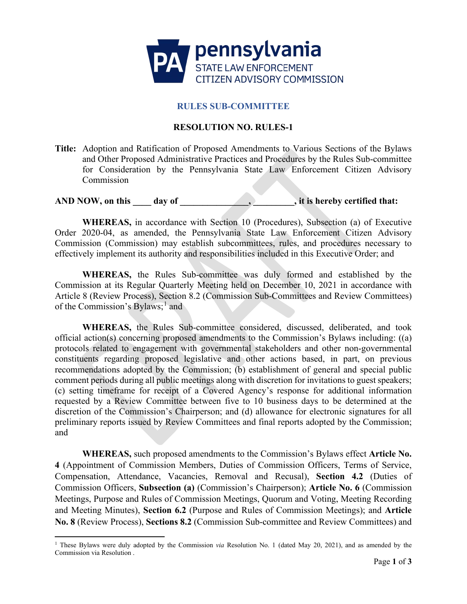

### **RULES SUB-COMMITTEE**

### **RESOLUTION NO. RULES-1**

**Title:** Adoption and Ratification of Proposed Amendments to Various Sections of the Bylaws and Other Proposed Administrative Practices and Procedures by the Rules Sub-committee for Consideration by the Pennsylvania State Law Enforcement Citizen Advisory Commission

AND NOW, on this \_\_\_\_\_\_ day of \_\_\_\_\_\_\_\_\_\_\_\_\_\_\_\_\_\_\_\_, it is hereby certified that:

**WHEREAS,** in accordance with Section 10 (Procedures), Subsection (a) of Executive Order 2020-04, as amended, the Pennsylvania State Law Enforcement Citizen Advisory Commission (Commission) may establish subcommittees, rules, and procedures necessary to effectively implement its authority and responsibilities included in this Executive Order; and

**WHEREAS,** the Rules Sub-committee was duly formed and established by the Commission at its Regular Quarterly Meeting held on December 10, 2021 in accordance with Article 8 (Review Process), Section 8.2 (Commission Sub-Committees and Review Committees) of the Commission's Bylaws;<sup>[1](#page-1-0)</sup> and

**WHEREAS,** the Rules Sub-committee considered, discussed, deliberated, and took official action(s) concerning proposed amendments to the Commission's Bylaws including: ((a) protocols related to engagement with governmental stakeholders and other non-governmental constituents regarding proposed legislative and other actions based, in part, on previous recommendations adopted by the Commission; (b) establishment of general and special public comment periods during all public meetings along with discretion for invitations to guest speakers; (c) setting timeframe for receipt of a Covered Agency's response for additional information requested by a Review Committee between five to 10 business days to be determined at the discretion of the Commission's Chairperson; and (d) allowance for electronic signatures for all preliminary reports issued by Review Committees and final reports adopted by the Commission; and

**WHEREAS,** such proposed amendments to the Commission's Bylaws effect **Article No. 4** (Appointment of Commission Members, Duties of Commission Officers, Terms of Service, Compensation, Attendance, Vacancies, Removal and Recusal), **Section 4.2** (Duties of Commission Officers, **Subsection (a)** (Commission's Chairperson); **Article No. 6** (Commission Meetings, Purpose and Rules of Commission Meetings, Quorum and Voting, Meeting Recording and Meeting Minutes), **Section 6.2** (Purpose and Rules of Commission Meetings); and **Article No. 8** (Review Process), **Sections 8.2** (Commission Sub-committee and Review Committees) and

<span id="page-1-0"></span><sup>1</sup> These Bylaws were duly adopted by the Commission *via* Resolution No. 1 (dated May 20, 2021), and as amended by the Commission via Resolution .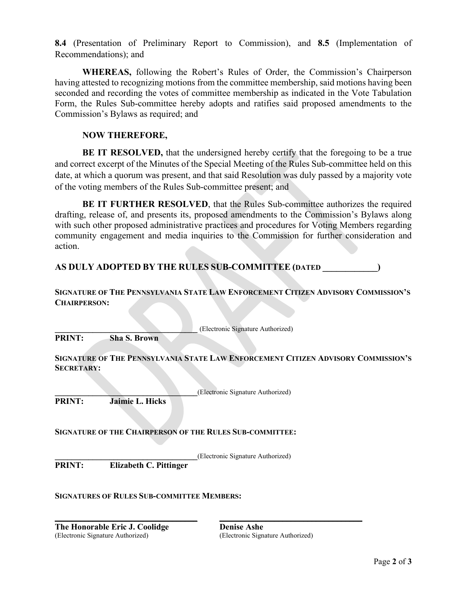**8.4** (Presentation of Preliminary Report to Commission), and **8.5** (Implementation of Recommendations); and

**WHEREAS,** following the Robert's Rules of Order, the Commission's Chairperson having attested to recognizing motions from the committee membership, said motions having been seconded and recording the votes of committee membership as indicated in the Vote Tabulation Form, the Rules Sub-committee hereby adopts and ratifies said proposed amendments to the Commission's Bylaws as required; and

### **NOW THEREFORE,**

**BE IT RESOLVED,** that the undersigned hereby certify that the foregoing to be a true and correct excerpt of the Minutes of the Special Meeting of the Rules Sub-committee held on this date, at which a quorum was present, and that said Resolution was duly passed by a majority vote of the voting members of the Rules Sub-committee present; and

**BE IT FURTHER RESOLVED**, that the Rules Sub-committee authorizes the required drafting, release of, and presents its, proposed amendments to the Commission's Bylaws along with such other proposed administrative practices and procedures for Voting Members regarding community engagement and media inquiries to the Commission for further consideration and action.

**AS DULY ADOPTED BY THE RULES SUB-COMMITTEE (DATED \_\_\_\_\_\_\_\_\_\_\_\_)**

### **SIGNATURE OF THE PENNSYLVANIA STATE LAW ENFORCEMENT CITIZEN ADVISORY COMMISSION'S CHAIRPERSON:**

**\_\_\_\_\_\_\_\_\_\_\_\_\_\_\_\_\_\_\_\_\_\_\_\_\_\_\_\_\_\_\_\_\_\_** (Electronic Signature Authorized)

**PRINT: Sha S. Brown**

#### **SIGNATURE OF THE PENNSYLVANIA STATE LAW ENFORCEMENT CITIZEN ADVISORY COMMISSION'S SECRETARY:**

**\_\_\_\_\_\_\_\_\_\_\_\_\_\_\_\_\_\_\_\_\_\_\_\_\_\_\_\_\_\_\_\_\_\_**(Electronic Signature Authorized) **PRINT: Jaimie L. Hicks** 

# **SIGNATURE OF THE CHAIRPERSON OF THE RULES SUB-COMMITTEE:**

**\_\_\_\_\_\_\_\_\_\_\_\_\_\_\_\_\_\_\_\_\_\_\_\_\_\_\_\_\_\_\_\_\_\_ \_\_\_\_\_\_\_\_\_\_\_\_\_\_\_\_\_\_\_\_\_\_\_\_\_\_\_\_\_\_\_\_\_\_**

**PRINT:** Elizabeth C. Pittinger (Electronic Signature Authorized) **PRINT: Elizabeth C. Pittinger**

#### **SIGNATURES OF RULES SUB-COMMITTEE MEMBERS:**

**The Honorable Eric J. Coolidge Denise Ashe** (Electronic Signature Authorized) (Electronic Signature Authorized)